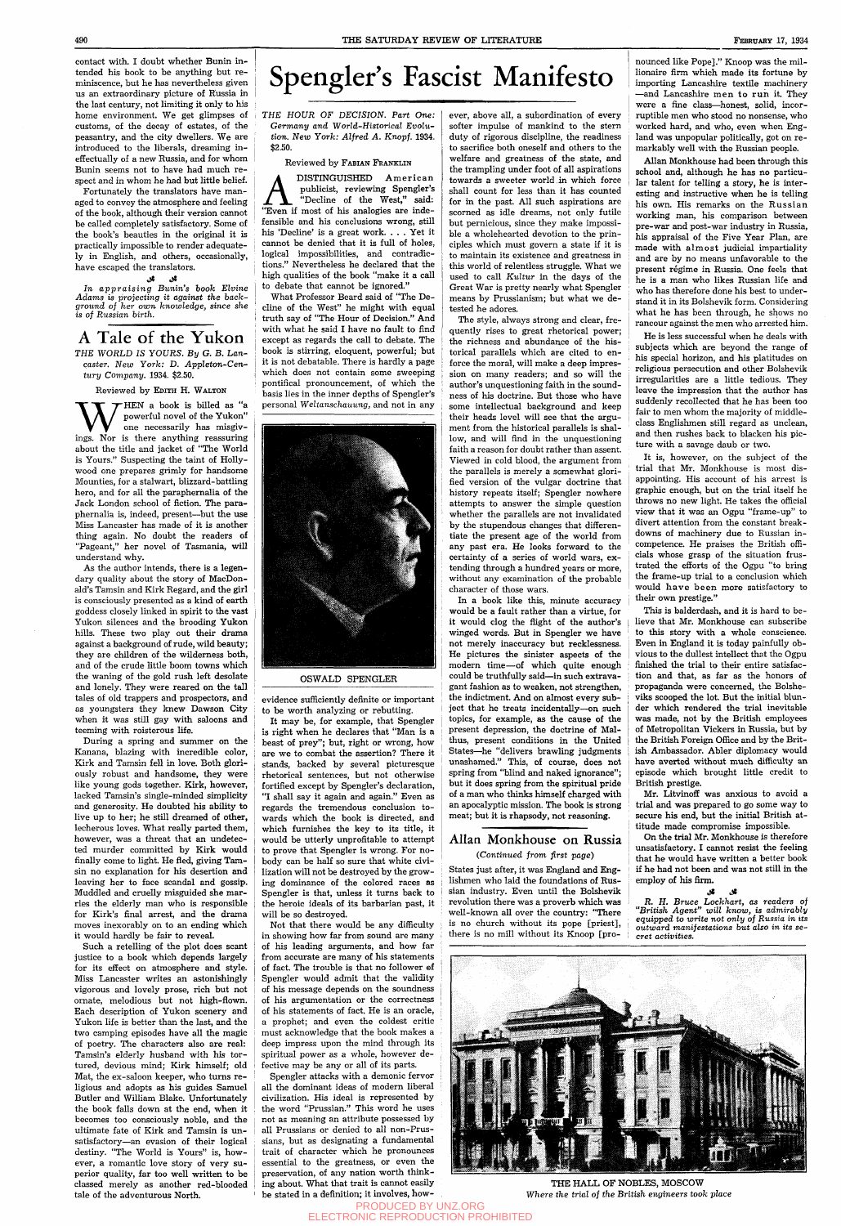contact with. I doubt whether Bunin intended his book to be anything but reminiscence, but he has nevertheless given us an extraordinary picture of Russia in the last century, not limiting it only to his home environment. We get glimpses of customs, of the decay of estates, of the peasantry, and the city dwellers. We are introduced to the liberals, dreaming ineffectually of a new Russia, and for whom Bunin seems not to have had much respect and in whom he had but little belief.

محي چي. *In appraising Bunin's book Elvine Adams is projecting it against the background oj her own knowledge, since she is of Russian birth.* 

Fortunately the translators have managed to convey the atmosphere and feeling of the book, although their version cannot be called completely satisfactory. Some of the book's beauties in the original it is practically impossible to render adequately in English, and others, occasionally, have escaped the translators.

W THEN a book is billed as "a powerful novel of the Yukon"<br>one necessarily has misgivings. Nor is there anything reassuring HEN a book is billed as "a powerful novel of the Yukon" one necessarily has misgivabout the title and jacket of "The World is Yours." Suspecting the taint of Hollywood one prepares grimly for handsome Mounties, for a stalwart, blizzard-battling hero, and for all the paraphernalia of the Jack London school of fiction. The paraphernalia is, indeed, present—^but the use Miss Lancaster has made of it is another thing again. No doubt the readers of "Pageant," her novel of Tasmania, will understand why.

# Spengler's Fascist Manifesto

A Tale of the Yukon THE WORLD *IS YOURS. By G. B. Lancaster. New York:* D. Applcton-Cen*tury Company.* 1934. \$2.50.

### Reviewed by EDITH H. WALTON

As the author intends, there is a legendary quality about the story of MacDonald's Tamsin and Kirk Regard, and the girl is consciously presented as a kind of earth goddess closely linked in spirit to the vast Yukon silences and the brooding Yukon hills. These two play out their drama against a background of rude, wild beauty; they are children of the wilderness both, and of the crude little boom towns which the waning of the gold rush left desolate and lonely. They were reared on the tall tales of old trappers and prospectors, and as youngsters they knew Dawson City when it was still gay with saloons and teeming with roisterous life.

**AMEL DISTINGUISHED American**<br>
publicist, reviewing Spengler's<br>
"Even if most of his analogies are inde-DISTINGUISHED American publicist, reviewing Spengler's "Decline of the West," said: fensible and his conclusions wrong, still his 'Decline' is a great work. . . . Yet it cannot be denied that it is full of holes, logical impossibilities, and contradictions." Nevertheless he declared that the high qualities of the book "make it a call to debate that cannot be ignored."

During a spring and summer on the Kanana, blazing with incredible color. Kirk and Tamsin fell in love. Both gloriously robust and handsome, they were like young gods together. Kirk, however, lacked Tamsin's single-minded simplicity and generosity. He doubted his ability to live up to her; he still dreamed of other, lecherous loves. What really parted them, however, was a threat that an undetected murder committed by Kirk would finally come to light. He fled, giving Tamsin no explanation for his desertion and leaving her to face scandal and gossip. Muddled and cruelly misguided she marries the elderly man who is responsible for Kirk's final arrest, and the drama moves inexorably on to an ending which it would hardly be fair to reveal.

Such a retelling of the plot does scant

justice to a book which depends largely for its effect on atmosphere and style. Miss Lancaster writes an astonishingly vigorous and lovely prose, rich but not ornate, melodious but not high-flown. Each description of Yukon scenery and Yukon life is better than the last, and the two camping episodes have all the magic of poetry. The characters also are real: Tamsin's elderly husband with his tortured, devious mind; Kirk himself; old Mat, the ex-saloon keeper, who turns religious and adopts as his guides Samuel Butler and William Blake. Unfortunately the book falls down at the end, when it becomes too consciously noble, and the ultimate fate of Kirk and Tamsin is unsatisfactory—an evasion of their logical destiny. "The World is Yours" is, however, a romantic love story of very superior quality, far too well written to be classed merely as another red-blooded tale of the adventurous North.

THE *HOUR OF DECISION. Part One: Germany and World-Historical Evolution. New York: Alfred A. Knopf.* 1934. \$2.50.

### Reviewed by FABIAN FRANKLIN

What Professor Beard said of "The Decline of the West" he might with equal truth say of "The Hour of Decision." And with what he said I have no fault to find except as regards the call to debate. The book is stirring, eloquent, powerful; but it is not debatable. There is hardly a page which does not contain some sweeping pontifical pronouncement, of which the basis lies in the inner depths of Spengler's personal *Weltanschauung,* and not in any



### OSWALD SPENGLER

evidence sufficiently definite or important to be worth analyzing or rebutting.

It may be, for example, that Spengler is right when he declares that "Man is a beast of prey"; but, right or wrong, how are we to combat the assertion? There it stands, backed by several picturesque rhetorical sentences, but not otherwise fortified except by Spengler's declaration, "I shall say it again and again." Even as regards the tremendous conclusion towards which the book is directed, and which furnishes the key to its title, it would be utterly unprofitable to attempt to prove that Spengler is wrong. For nobody can be half so sure that white civilization will not be destroyed by the growing dominance of the colored races as Spengler is that, unless it turns back to the heroic ideals of its barbarian past, it will be so destroyed.

Not that there would be any difficulty in showing how far from sound are many of his leading arguments, and how far from accurate are many of his statements of fact. The trouble is that no follower ef Spengler would admit that the validity of his message depends on the soundness of his argumentation or the correctness of his statements of fact. He is an oracle, a prophet; and even the coldest critic must acknowledge that the book makes a deep impress upon the mind through its spiritual power as a whole, however defective may be any or all of its parts. Spengler attacks with a demonic fervor all the dominant ideas of modern liberal civilization. His ideal is represented by the word "Prussian." This word he uses not as meaning an attribute possessed by all Prussians or denied to all non-Prussians, but as designating a fimdamental trait of character which he pronounces essential to the greatness, or even the preservation, of any nation worth thinking about. What that trait is cannot easily be stated in a definition; it involves, however, above all, a subordination of every softer impulse of mankind to the stern duty of rigorous discipline, the readiness to sacrifice both oneself and others to the welfare and greatness of the state, and the trampling under foot of all aspirations towards a sweeter world in which force shall count for less than it has counted for in the past. All such aspirations are scorned as idle dreams, not only futile but pernicious, since they make impossible a wholehearted devotion to the principles which must govern a state if it is to maintain its existence and greatness in this world of relentless struggle. What we used to call *Kultur* in the days of the Great War is pretty nearly what Spengler means by Prussianism; but what we detested he adores.

The style, always strong and clear, frequently rises to great rhetorical power; the richness and abundance of the historical parallels which are cited to enforce the moral, will make a deep impression on many readers; and so will the author's unquestioning faith in the soundness of his doctrine. But those who have some intellectual background and keep their heads level will see that the argument from the historical parallels is shallow, and will find in the unquestioning faith a reason for doubt rather than assent. Viewed in cold blood, the argument from the parallels is merely a somewhat glorified version of the vulgar doctrine that history repeats itself; Spengler nowhere attempts to answer the simple question whether the parallels are not invalidated by the stupendous changes that differentiate the present age of the world from any past era. He looks forward to the certainty of a series of world wars, extending through a hundred years or more, without any examination of the probable character of those wars.

In a book like this, minute accuracy would be a fault rather than a virtue, for it would clog the flight of the author's winged words. But in Spengler we have not merely inaccuracy but recklessness. He pictures the sinister aspects of the modern time—of which quite enough could be truthfully said—in such extravagant fashion as to weaken, not strengthen, the indictment. And on almost every subject that he treats incidentally—on such topics, for example, as the cause of the present depression, the doctrine of Malthus, present conditions in the United States—he "delivers brawling judgments unashamed." This, of course, does not spring from "blind and naked ignorance"; but it does spring from the spiritual pride of a man who thinks himself charged with an apocalyptic mission. The book is strong meat; but it is rhapsody, not reasoning.

# Allan Monkhouse on Russia *{Continued from first page)*

States just after, it was England and Englishmen who laid the foundations of Russian industry. Even until the Bolshevik revolution there was a proverb which was well-known all over the country: "There is no church without its pope [priest], there is no mill without its Knoop [pronounced like Pope]." Knoop was the millionaire firm which made its fortune by importing Lancashire textile machinery —and Lancashire men to run it. They were a fine class—honest, solid, incorruptible men who stood no nonsense, who worked hard, and who, even when England was unpopular politically, got on remarkably well with the Russian people.

Allan Monkhouse had been through this school and, although he has no particular talent for telling a story, he is interesting and instructive when he is telling his own. His remarks on the Russian working man, his comparison between pre-war and post-war industry in Russia, his appraisal of the Five Year Plan, are made with almost judicial impartiality and are by no means unfavorable to the present régime in Russia. One feels that he is a man who likes Russian life and who has therefore done his best to understand it in its Bolshevik form. Considering what he has been through, he shows no rancour against the men who arrested him.

He is less successful when he deals with subjects which are beyond the range of his special horizon, and his platitudes on religious persecution and other Bolshevik irregularities are a little tedious. They leave the impression that the author has suddenly recollected that he has been too fair to men whom the majority of middleclass Englishmen still regard as unclean, and then rushes back to blacken his picture with a savage daub or two.

It is, however, on the subject of the trial that Mr. Monkhouse is most disappointing. His account of his arrest is graphic enough, but on the trial itself he throws no new light. He takes the official view that it was an Ogpu "frame-up" to divert attention from the constant breakdowns of machinery due to Russian incompetence. He praises the British officials whose grasp of the situation frustrated the efforts of the Ogpu "to bring the frame-up trial to a conclusion which would have been more satisfactory to their own prestige."

This is balderdash, and it is hard to believe that Mr. Monkhouse can subscribe to this story with a whole conscience. Even in England it is today painfully obvious to the dullest intellect that the Ogpu finished the trial to their entire satisfaction and that, as far as the honors of propaganda were concerned, the Bolsheviks scooped the lot. But the initial blunder which rendered the trial inevitable was made, not by the British employees of Metropolitan Vickers in Russia, but by the British Foreign Office and by the British Ambassador. Abler diplomacy would have averted without much difficulty an episode which brought little credit to British prestige.

Mr. Litvinoff was anxious to avoid a trial and was prepared to go some way to secure his end, but the initial British attitude made compromise impossible.

On the trial Mr. Monkhouse is therefore unsatisfactory. I cannot resist the feeling that he would have written a better book if he had not been and was not still in the employ of his firm.

**i5\* <5»**  *R. H. Bruce Lockhart, as readers of "British Agent" will know, is admirably equipped to write not only of Russia in its outward manifestations but also in its secret activities.* 



THE HALL OF NOBLES, MOSCOW *Where the trial of the British engineers took place* 

PRODUCED BY UNZ.ORG ELECTRONIC REPRODUCTION PROHIBITED